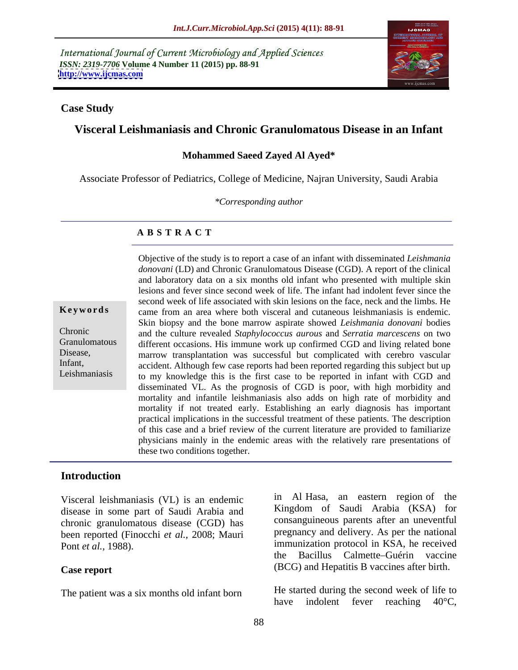International Journal of Current Microbiology and Applied Sciences *ISSN: 2319-7706* **Volume 4 Number 11 (2015) pp. 88-91 <http://www.ijcmas.com>**



### **Case Study**

# **Visceral Leishmaniasis and Chronic Granulomatous Disease in an Infant**

### **Mohammed Saeed Zayed Al Ayed\***

Associate Professor of Pediatrics, College of Medicine, Najran University, Saudi Arabia

*\*Corresponding author*

### **A B S T R A C T**

Leishmaniasis

Objective of the study is to report a case of an infant with disseminated *Leishmania donovani* (LD) and Chronic Granulomatous Disease (CGD). A report of the clinical and laboratory data on a six months old infant who presented with multiple skin lesions and fever since second week of life. The infant had indolent feversince the second week of life associated with skin lesions on the face, neck and the limbs. He came from an area where both visceral and cutaneous leishmaniasis is endemic. **Ke ywo rds** Skin biopsy and the bone marrow aspirate showed *Leishmania donovani* bodies and the culture revealed *Staphylococcus aurous* and *Serratia marcescens* on two Chronic different occasions. His immune work up confirmed CGD and living related bone Granulomatous Disease, marrow transplantation was successful but complicated with cerebro vascular Infant, accident. Although few case reports had been reported regarding this subject but up to my knowledge this is the first case to be reported in infant with CGD and disseminated VL. As the prognosis of CGD is poor, with high morbidity and mortality and infantile leishmaniasis also adds on high rate of morbidity and mortality if not treated early. Establishing an early diagnosis has important practical implications in the successful treatment of these patients. The description of this case and a brief review of the current literature are provided to familiarize physicians mainly in the endemic areas with the relatively rare presentations of these two conditions together.

### **Introduction**

Visceral leishmaniasis (VL) is an endemic disease in some part of Saudi Arabia and chronic granulomatous disease (CGD) has been reported (Finocchi *et al.,* 2008; Mauri

The patient was a six months old infant born

Pont *et al.*, 1988). immunization protocol in KSA, he received **Case report** (BCG) and Hepatitis B vaccines after birth. in Al Hasa, an eastern region of the Kingdom of Saudi Arabia (KSA) for consanguineous parents after an uneventful pregnancy and delivery. As per the national the Bacillus Calmette Guérin vaccine

> He started during the second week of life to have indolent fever reaching 40<sup>o</sup>C,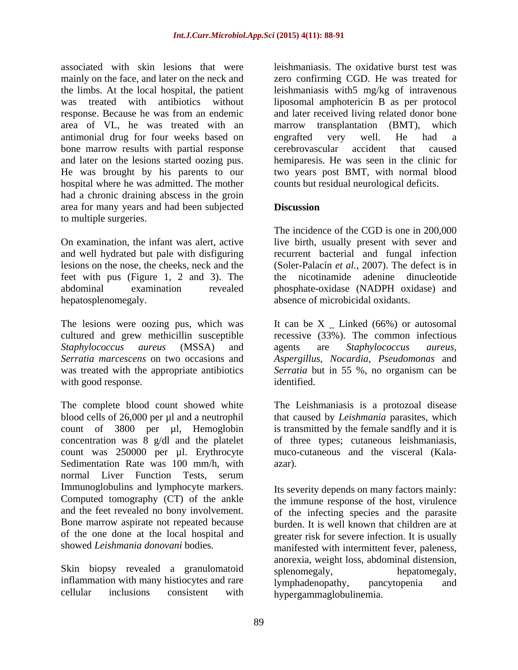associated with skin lesions that were leishmaniasis. The oxidative burst test was mainly on the face, and later on the neck and zero confirming CGD. He was treated for the limbs. At the local hospital, the patient leishmaniasis with5 mg/kg of intravenous was treated with antibiotics without liposomal amphotericin B as per protocol response. Because he was from an endemic and later received living related donor bone area of VL, he was treated with an marrow transplantation (BMT), which antimonial drug for four weeks based on bone marrow results with partial response erebrovascular accident that caused and later on the lesions started oozing pus. hemiparesis. He was seen in the clinic for He was brought by his parents to our two years post BMT, with normal blood hospital where he was admitted. The mother had a chronic draining abscess in the groin area for many years and had been subjected to multiple surgeries.

feet with pus (Figure 1, 2 and 3). The

The lesions were oozing pus, which was It can be X \_ Linked (66%) or autosomal cultured and grew methicillin susceptible recessive (33%). The common infectious *Staphylococcus aureus* (MSSA) and *Serratia marcescens* on two occasions and *Aspergillus*, *Nocardia*, *Pseudomonas* and was treated with the appropriate antibiotics *Serratia* but in 55 %, no organism can be with good response.  $\blacksquare$ 

The complete blood count showed white The Leishmaniasis is a protozoal disease blood cells of 26,000 per µl and a neutrophil that caused by *Leishmania* parasites, which count of 3800 per µl, Hemoglobin is transmitted by the female sandfly and it is concentration was 8 g/dl and the platelet count was 250000 per µl. Erythrocyte muco-cutaneous and the visceral (Kala- Sedimentation Rate was 100 mm/h, with azar). normal Liver Function Tests, serum Immunoglobulins and lymphocyte markers.

Skin biopsy revealed a granulomatoid splenomegaly, hepatomegaly, inflammation with many histiocytes and rare lymphadenopathy, pancytopenia and

marrow transplantation (BMT), which engrafted very well. He had a cerebrovascular accident that caused counts but residual neurological deficits.

# **Discussion**

On examination, the infant was alert, active live birth, usually present with sever and and well hydrated but pale with disfiguring recurrent bacterial and fungal infection lesions on the nose, the cheeks, neck and the (Soler-Palacín *et al.,* 2007). The defect is in abdominal examination revealed phosphate-oxidase (NADPH oxidase) and hepatosplenomegaly. absence of microbicidal oxidants. The incidence of the CGD is one in 200,000 the nicotinamide adenine dinucleotide

> agents are *Staphylococcus aureus*, identified.

of three types; cutaneous leishmaniasis, azar).

Computed tomography (CT) of the ankle the immune response of the host, virulence and the feet revealed no bony involvement. of the infecting species and the parasite Bone marrow aspirate not repeated because burden. It is well known that children are at of the one done at the local hospital and greater risk for severe infection. It is usually showed *Leishmania donovani* bodies. manifested with intermittent fever, paleness, cellular inclusions consistent with hypergammaglobulinemia. Its severity depends on many factors mainly: anorexia, weight loss, abdominal distension, splenomegaly, hepatomegaly, lymphadenopathy, pancytopenia and hypergammaglobulinemia.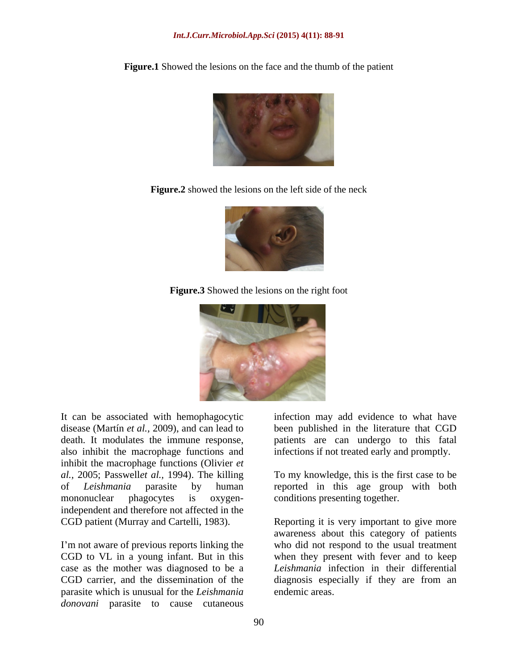**Figure.1** Showed the lesions on the face and the thumb of the patient

**Figure.2** showed the lesions on the left side of the neck



**Figure.3** Showed the lesions on the right foot



It can be associated with hemophagocytic infection may add evidence to what have disease (Martín *et al.,* 2009), and can lead to been published in the literature that CGD death. It modulates the immune response, patients are can undergo to this fatal also inhibit the macrophage functions and inhibit the macrophage functions (Olivier *et al.,* 2005; Passwell*et al.,* 1994). The killing To my knowledge, this is the first case to be of *Leishmania* parasite by human reported in this age group with both mononuclear phagocytes is oxygen-conditions presenting together. independent and therefore not affected in the CGD patient (Murray and Cartelli, 1983).

I'm not aware of previous reports linking the parasite which is unusual for the *Leishmania donovani* parasite to cause cutaneous

infections if not treated early and promptly.

CGD to VL in a young infant. But in this when they present with fever and to keep case as the mother was diagnosed to be a *Leishmania* infection in their differential CGD carrier, and the dissemination of the diagnosis especially if they are from an Reporting it is very important to give more awareness about this category of patients who did not respond to the usual treatment endemic areas.